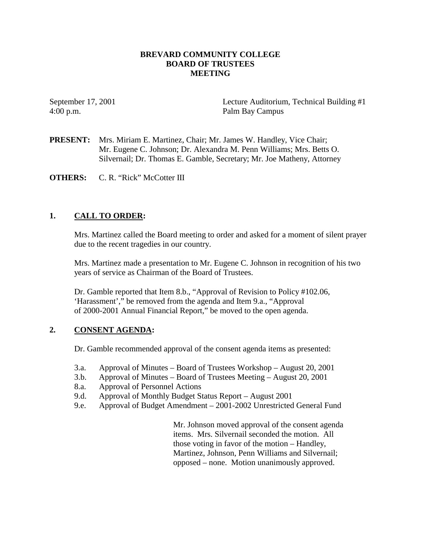### **BREVARD COMMUNITY COLLEGE BOARD OF TRUSTEES MEETING**

4:00 p.m. Palm Bay Campus

September 17, 2001 Lecture Auditorium, Technical Building #1

**PRESENT:** Mrs. Miriam E. Martinez, Chair; Mr. James W. Handley, Vice Chair; Mr. Eugene C. Johnson; Dr. Alexandra M. Penn Williams; Mrs. Betts O. Silvernail; Dr. Thomas E. Gamble, Secretary; Mr. Joe Matheny, Attorney

**OTHERS:** C. R. "Rick" McCotter III

## **1. CALL TO ORDER:**

Mrs. Martinez called the Board meeting to order and asked for a moment of silent prayer due to the recent tragedies in our country.

Mrs. Martinez made a presentation to Mr. Eugene C. Johnson in recognition of his two years of service as Chairman of the Board of Trustees.

Dr. Gamble reported that Item 8.b., "Approval of Revision to Policy #102.06, 'Harassment'," be removed from the agenda and Item 9.a., "Approval of 2000-2001 Annual Financial Report," be moved to the open agenda.

## **2. CONSENT AGENDA:**

Dr. Gamble recommended approval of the consent agenda items as presented:

- 3.a. Approval of Minutes Board of Trustees Workshop August 20, 2001
- 3.b. Approval of Minutes Board of Trustees Meeting August 20, 2001
- 8.a. Approval of Personnel Actions
- 9.d. Approval of Monthly Budget Status Report August 2001
- 9.e. Approval of Budget Amendment 2001-2002 Unrestricted General Fund

 Mr. Johnson moved approval of the consent agenda items. Mrs. Silvernail seconded the motion. All those voting in favor of the motion – Handley, Martinez, Johnson, Penn Williams and Silvernail; opposed – none. Motion unanimously approved.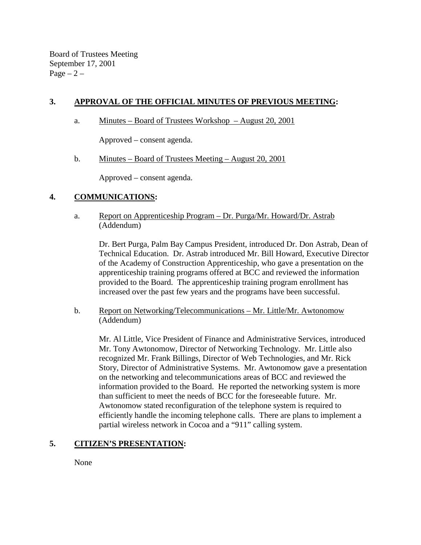Board of Trustees Meeting September 17, 2001  $Page - 2 -$ 

# **3. APPROVAL OF THE OFFICIAL MINUTES OF PREVIOUS MEETING:**

a. Minutes – Board of Trustees Workshop – August 20, 2001

Approved – consent agenda.

b. Minutes – Board of Trustees Meeting – August 20, 2001

Approved – consent agenda.

## **4. COMMUNICATIONS:**

a. Report on Apprenticeship Program – Dr. Purga/Mr. Howard/Dr. Astrab (Addendum)

Dr. Bert Purga, Palm Bay Campus President, introduced Dr. Don Astrab, Dean of Technical Education. Dr. Astrab introduced Mr. Bill Howard, Executive Director of the Academy of Construction Apprenticeship, who gave a presentation on the apprenticeship training programs offered at BCC and reviewed the information provided to the Board. The apprenticeship training program enrollment has increased over the past few years and the programs have been successful.

b. Report on Networking/Telecommunications – Mr. Little/Mr. Awtonomow (Addendum)

Mr. Al Little, Vice President of Finance and Administrative Services, introduced Mr. Tony Awtonomow, Director of Networking Technology. Mr. Little also recognized Mr. Frank Billings, Director of Web Technologies, and Mr. Rick Story, Director of Administrative Systems. Mr. Awtonomow gave a presentation on the networking and telecommunications areas of BCC and reviewed the information provided to the Board. He reported the networking system is more than sufficient to meet the needs of BCC for the foreseeable future. Mr. Awtonomow stated reconfiguration of the telephone system is required to efficiently handle the incoming telephone calls. There are plans to implement a partial wireless network in Cocoa and a "911" calling system.

## **5. CITIZEN'S PRESENTATION:**

None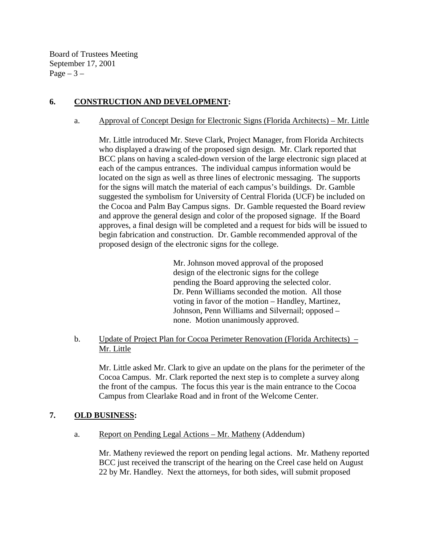Board of Trustees Meeting September 17, 2001  $Page - 3 -$ 

# **6. CONSTRUCTION AND DEVELOPMENT:**

### a. Approval of Concept Design for Electronic Signs (Florida Architects) – Mr. Little

Mr. Little introduced Mr. Steve Clark, Project Manager, from Florida Architects who displayed a drawing of the proposed sign design. Mr. Clark reported that BCC plans on having a scaled-down version of the large electronic sign placed at each of the campus entrances. The individual campus information would be located on the sign as well as three lines of electronic messaging. The supports for the signs will match the material of each campus's buildings. Dr. Gamble suggested the symbolism for University of Central Florida (UCF) be included on the Cocoa and Palm Bay Campus signs. Dr. Gamble requested the Board review and approve the general design and color of the proposed signage. If the Board approves, a final design will be completed and a request for bids will be issued to begin fabrication and construction. Dr. Gamble recommended approval of the proposed design of the electronic signs for the college.

> Mr. Johnson moved approval of the proposed design of the electronic signs for the college pending the Board approving the selected color. Dr. Penn Williams seconded the motion. All those voting in favor of the motion – Handley, Martinez, Johnson, Penn Williams and Silvernail; opposed – none. Motion unanimously approved.

b. Update of Project Plan for Cocoa Perimeter Renovation (Florida Architects) – Mr. Little

 Mr. Little asked Mr. Clark to give an update on the plans for the perimeter of the Cocoa Campus. Mr. Clark reported the next step is to complete a survey along the front of the campus. The focus this year is the main entrance to the Cocoa Campus from Clearlake Road and in front of the Welcome Center.

## **7. OLD BUSINESS:**

a. Report on Pending Legal Actions – Mr. Matheny (Addendum)

Mr. Matheny reviewed the report on pending legal actions. Mr. Matheny reported BCC just received the transcript of the hearing on the Creel case held on August 22 by Mr. Handley. Next the attorneys, for both sides, will submit proposed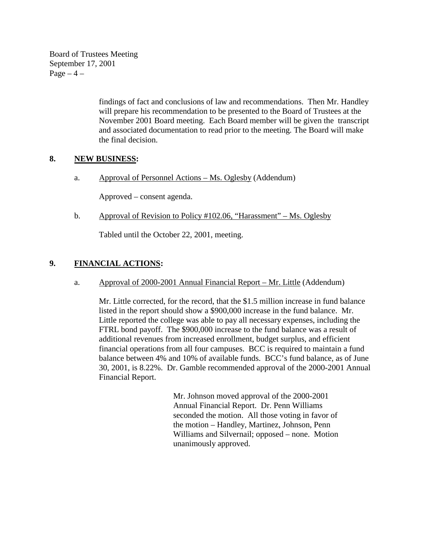Board of Trustees Meeting September 17, 2001  $Page-4$  –

> findings of fact and conclusions of law and recommendations. Then Mr. Handley will prepare his recommendation to be presented to the Board of Trustees at the November 2001 Board meeting. Each Board member will be given the transcript and associated documentation to read prior to the meeting. The Board will make the final decision.

## **8. NEW BUSINESS:**

a. Approval of Personnel Actions – Ms. Oglesby (Addendum)

Approved – consent agenda.

b. Approval of Revision to Policy #102.06, "Harassment" – Ms. Oglesby

Tabled until the October 22, 2001, meeting.

# **9. FINANCIAL ACTIONS:**

a. Approval of 2000-2001 Annual Financial Report – Mr. Little (Addendum)

 Mr. Little corrected, for the record, that the \$1.5 million increase in fund balance listed in the report should show a \$900,000 increase in the fund balance. Mr. Little reported the college was able to pay all necessary expenses, including the FTRL bond payoff. The \$900,000 increase to the fund balance was a result of additional revenues from increased enrollment, budget surplus, and efficient financial operations from all four campuses. BCC is required to maintain a fund balance between 4% and 10% of available funds. BCC's fund balance, as of June 30, 2001, is 8.22%. Dr. Gamble recommended approval of the 2000-2001 Annual Financial Report.

> Mr. Johnson moved approval of the 2000-2001 Annual Financial Report. Dr. Penn Williams seconded the motion. All those voting in favor of the motion – Handley, Martinez, Johnson, Penn Williams and Silvernail; opposed – none. Motion unanimously approved.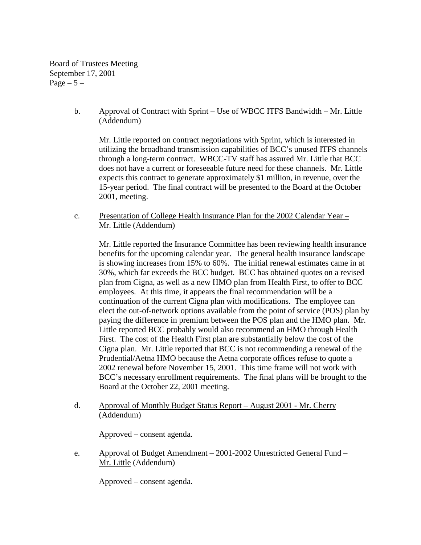Board of Trustees Meeting September 17, 2001 Page  $-5-$ 

> b. Approval of Contract with Sprint – Use of WBCC ITFS Bandwidth – Mr. Little (Addendum)

 Mr. Little reported on contract negotiations with Sprint, which is interested in utilizing the broadband transmission capabilities of BCC's unused ITFS channels through a long-term contract. WBCC-TV staff has assured Mr. Little that BCC does not have a current or foreseeable future need for these channels. Mr. Little expects this contract to generate approximately \$1 million, in revenue, over the 15-year period. The final contract will be presented to the Board at the October 2001, meeting.

c. Presentation of College Health Insurance Plan for the 2002 Calendar Year – Mr. Little (Addendum)

Mr. Little reported the Insurance Committee has been reviewing health insurance benefits for the upcoming calendar year. The general health insurance landscape is showing increases from 15% to 60%. The initial renewal estimates came in at 30%, which far exceeds the BCC budget. BCC has obtained quotes on a revised plan from Cigna, as well as a new HMO plan from Health First, to offer to BCC employees. At this time, it appears the final recommendation will be a continuation of the current Cigna plan with modifications. The employee can elect the out-of-network options available from the point of service (POS) plan by paying the difference in premium between the POS plan and the HMO plan. Mr. Little reported BCC probably would also recommend an HMO through Health First. The cost of the Health First plan are substantially below the cost of the Cigna plan. Mr. Little reported that BCC is not recommending a renewal of the Prudential/Aetna HMO because the Aetna corporate offices refuse to quote a 2002 renewal before November 15, 2001. This time frame will not work with BCC's necessary enrollment requirements. The final plans will be brought to the Board at the October 22, 2001 meeting.

d. Approval of Monthly Budget Status Report – August 2001 - Mr. Cherry (Addendum)

Approved – consent agenda.

 e. Approval of Budget Amendment – 2001-2002 Unrestricted General Fund – Mr. Little (Addendum)

Approved – consent agenda.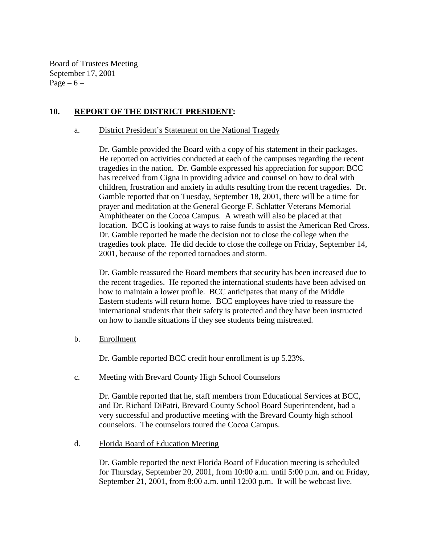Board of Trustees Meeting September 17, 2001 Page  $-6$  –

### **10. REPORT OF THE DISTRICT PRESIDENT:**

#### a. District President's Statement on the National Tragedy

Dr. Gamble provided the Board with a copy of his statement in their packages. He reported on activities conducted at each of the campuses regarding the recent tragedies in the nation. Dr. Gamble expressed his appreciation for support BCC has received from Cigna in providing advice and counsel on how to deal with children, frustration and anxiety in adults resulting from the recent tragedies. Dr. Gamble reported that on Tuesday, September 18, 2001, there will be a time for prayer and meditation at the General George F. Schlatter Veterans Memorial Amphitheater on the Cocoa Campus. A wreath will also be placed at that location. BCC is looking at ways to raise funds to assist the American Red Cross. Dr. Gamble reported he made the decision not to close the college when the tragedies took place. He did decide to close the college on Friday, September 14, 2001, because of the reported tornadoes and storm.

Dr. Gamble reassured the Board members that security has been increased due to the recent tragedies. He reported the international students have been advised on how to maintain a lower profile. BCC anticipates that many of the Middle Eastern students will return home. BCC employees have tried to reassure the international students that their safety is protected and they have been instructed on how to handle situations if they see students being mistreated.

#### b. Enrollment

Dr. Gamble reported BCC credit hour enrollment is up 5.23%.

#### c. Meeting with Brevard County High School Counselors

Dr. Gamble reported that he, staff members from Educational Services at BCC, and Dr. Richard DiPatri, Brevard County School Board Superintendent, had a very successful and productive meeting with the Brevard County high school counselors. The counselors toured the Cocoa Campus.

#### d. Florida Board of Education Meeting

Dr. Gamble reported the next Florida Board of Education meeting is scheduled for Thursday, September 20, 2001, from 10:00 a.m. until 5:00 p.m. and on Friday, September 21, 2001, from 8:00 a.m. until 12:00 p.m. It will be webcast live.